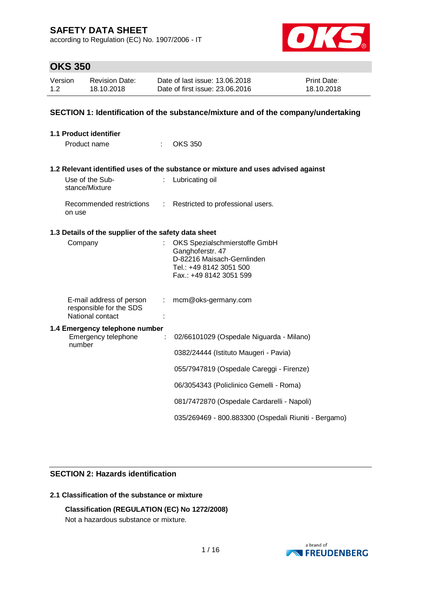according to Regulation (EC) No. 1907/2006 - IT



# **OKS 350**

| Version | <b>Revision Date:</b> | Date of last issue: 13.06.2018  | <b>Print Date:</b> |
|---------|-----------------------|---------------------------------|--------------------|
| 1.2     | 18.10.2018            | Date of first issue: 23,06,2016 | 18.10.2018         |

### **SECTION 1: Identification of the substance/mixture and of the company/undertaking**

| <b>1.1 Product identifier</b>                                           |    |                                                                                                                                       |
|-------------------------------------------------------------------------|----|---------------------------------------------------------------------------------------------------------------------------------------|
| Product name                                                            |    | <b>OKS 350</b>                                                                                                                        |
|                                                                         |    | 1.2 Relevant identified uses of the substance or mixture and uses advised against                                                     |
| Use of the Sub-<br>stance/Mixture                                       |    | Lubricating oil                                                                                                                       |
| Recommended restrictions<br>on use                                      |    | : Restricted to professional users.                                                                                                   |
| 1.3 Details of the supplier of the safety data sheet                    |    |                                                                                                                                       |
| Company                                                                 |    | OKS Spezialschmierstoffe GmbH<br>Ganghoferstr. 47<br>D-82216 Maisach-Gernlinden<br>Tel.: +49 8142 3051 500<br>Fax.: +49 8142 3051 599 |
| E-mail address of person<br>responsible for the SDS<br>National contact | t. | mcm@oks-germany.com                                                                                                                   |
| 1.4 Emergency telephone number<br>Emergency telephone                   | ÷  | 02/66101029 (Ospedale Niguarda - Milano)                                                                                              |
| number                                                                  |    | 0382/24444 (Istituto Maugeri - Pavia)                                                                                                 |
|                                                                         |    | 055/7947819 (Ospedale Careggi - Firenze)                                                                                              |
|                                                                         |    | 06/3054343 (Policlinico Gemelli - Roma)                                                                                               |
|                                                                         |    | 081/7472870 (Ospedale Cardarelli - Napoli)                                                                                            |
|                                                                         |    | 035/269469 - 800.883300 (Ospedali Riuniti - Bergamo)                                                                                  |

### **SECTION 2: Hazards identification**

### **2.1 Classification of the substance or mixture**

### **Classification (REGULATION (EC) No 1272/2008)**

Not a hazardous substance or mixture.

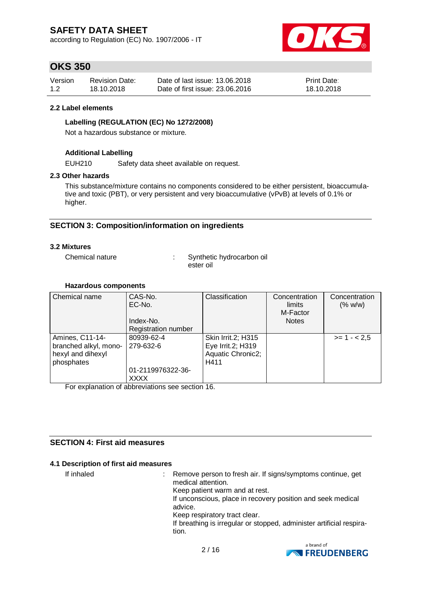according to Regulation (EC) No. 1907/2006 - IT



# **OKS 350**

| Version | <b>Revision Date:</b> | Date of last issue: 13.06.2018  | <b>Print Date:</b> |
|---------|-----------------------|---------------------------------|--------------------|
| 1.2     | 18.10.2018            | Date of first issue: 23,06,2016 | 18.10.2018         |

#### **2.2 Label elements**

### **Labelling (REGULATION (EC) No 1272/2008)**

Not a hazardous substance or mixture.

### **Additional Labelling**

EUH210 Safety data sheet available on request.

#### **2.3 Other hazards**

This substance/mixture contains no components considered to be either persistent, bioaccumulative and toxic (PBT), or very persistent and very bioaccumulative (vPvB) at levels of 0.1% or higher.

### **SECTION 3: Composition/information on ingredients**

#### **3.2 Mixtures**

Chemical nature : Synthetic hydrocarbon oil ester oil

#### **Hazardous components**

| Chemical name         | CAS-No.                    | Classification     | Concentration | Concentration |
|-----------------------|----------------------------|--------------------|---------------|---------------|
|                       | EC-No.                     |                    | limits        | (% w/w)       |
|                       |                            |                    | M-Factor      |               |
|                       | Index-No.                  |                    | <b>Notes</b>  |               |
|                       | <b>Registration number</b> |                    |               |               |
| Amines, C11-14-       | 80939-62-4                 | Skin Irrit.2; H315 |               | $>= 1 - 2.5$  |
| branched alkyl, mono- | 279-632-6                  | Eye Irrit.2; H319  |               |               |
| hexyl and dihexyl     |                            | Aquatic Chronic2;  |               |               |
| phosphates            |                            | H411               |               |               |
|                       | 01-2119976322-36-          |                    |               |               |
|                       | <b>XXXX</b>                |                    |               |               |

For explanation of abbreviations see section 16.

### **SECTION 4: First aid measures**

#### **4.1 Description of first aid measures**

If inhaled : Remove person to fresh air. If signs/symptoms continue, get medical attention. Keep patient warm and at rest. If unconscious, place in recovery position and seek medical advice. Keep respiratory tract clear. If breathing is irregular or stopped, administer artificial respiration.

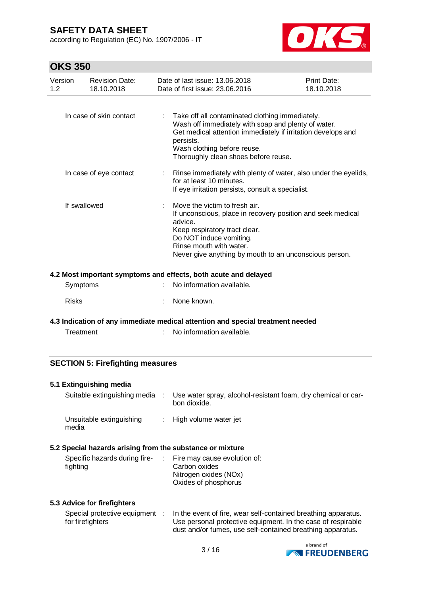according to Regulation (EC) No. 1907/2006 - IT



# **OKS 350**

| Version<br>1.2 | Revision Date:<br>18.10.2018 | Date of last issue: 13.06.2018<br>Date of first issue: 23.06.2016                                                                                                                                                                                          | <b>Print Date:</b><br>18.10.2018 |
|----------------|------------------------------|------------------------------------------------------------------------------------------------------------------------------------------------------------------------------------------------------------------------------------------------------------|----------------------------------|
|                |                              |                                                                                                                                                                                                                                                            |                                  |
|                | In case of skin contact      | Take off all contaminated clothing immediately.<br>Wash off immediately with soap and plenty of water.<br>Get medical attention immediately if irritation develops and<br>persists.<br>Wash clothing before reuse.<br>Thoroughly clean shoes before reuse. |                                  |
|                | In case of eye contact       | : Rinse immediately with plenty of water, also under the eyelids,<br>for at least 10 minutes.<br>If eye irritation persists, consult a specialist.                                                                                                         |                                  |
| If swallowed   |                              | Move the victim to fresh air.<br>If unconscious, place in recovery position and seek medical<br>advice.<br>Keep respiratory tract clear.<br>Do NOT induce vomiting.<br>Rinse mouth with water.<br>Never give anything by mouth to an unconscious person.   |                                  |
|                |                              | 4.2 Most important symptoms and effects, both acute and delayed                                                                                                                                                                                            |                                  |

| Symptoms     | : No information available. |
|--------------|-----------------------------|
| <b>Risks</b> | : None known.               |

### **4.3 Indication of any immediate medical attention and special treatment needed**

| Treatment | No information available. |
|-----------|---------------------------|
|           |                           |

### **SECTION 5: Firefighting measures**

#### **5.1 Extinguishing media**

| Suitable extinguishing media      | Use water spray, alcohol-resistant foam, dry chemical or car-<br>bon dioxide. |
|-----------------------------------|-------------------------------------------------------------------------------|
| Unsuitable extinguishing<br>media | : High volume water jet                                                       |

#### **5.2 Special hazards arising from the substance or mixture**

| Specific hazards during fire-<br>fighting | $\therefore$ Fire may cause evolution of:<br>Carbon oxides |
|-------------------------------------------|------------------------------------------------------------|
|                                           | Nitrogen oxides (NOx)<br>Oxides of phosphorus              |

#### **5.3 Advice for firefighters**

| Special protective equipment | In the event of fire, wear self-contained breathing apparatus. |
|------------------------------|----------------------------------------------------------------|
| for firefighters             | Use personal protective equipment. In the case of respirable   |
|                              | dust and/or fumes, use self-contained breathing apparatus.     |

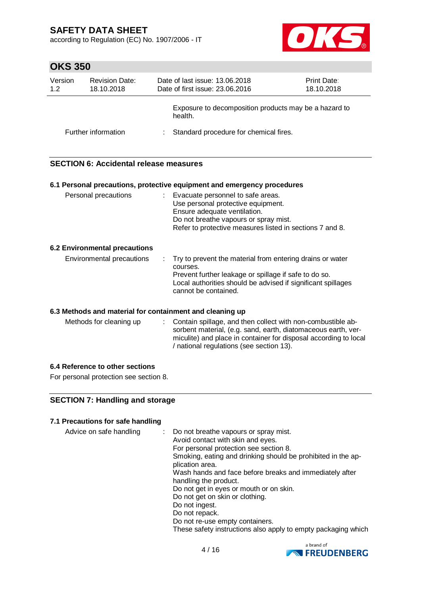according to Regulation (EC) No. 1907/2006 - IT



# **OKS 350**

| Version<br>1.2 | <b>Revision Date:</b><br>18.10.2018 | Date of last issue: 13.06.2018<br>Date of first issue: 23.06.2016 | <b>Print Date:</b><br>18.10.2018 |
|----------------|-------------------------------------|-------------------------------------------------------------------|----------------------------------|
|                |                                     | Exposure to decomposition products may be a hazard to<br>health.  |                                  |
|                | Further information                 | Standard procedure for chemical fires.                            |                                  |

### **SECTION 6: Accidental release measures**

|                               |  | 6.1 Personal precautions, protective equipment and emergency procedures                                                                                                                                                  |  |  |  |
|-------------------------------|--|--------------------------------------------------------------------------------------------------------------------------------------------------------------------------------------------------------------------------|--|--|--|
| Personal precautions          |  | : Evacuate personnel to safe areas.<br>Use personal protective equipment.<br>Ensure adequate ventilation.<br>Do not breathe vapours or spray mist.<br>Refer to protective measures listed in sections 7 and 8.           |  |  |  |
| 6.2 Environmental precautions |  |                                                                                                                                                                                                                          |  |  |  |
| Environmental precautions     |  | : Try to prevent the material from entering drains or water<br>courses.<br>Prevent further leakage or spillage if safe to do so.<br>Local authorities should be advised if significant spillages<br>cannot be contained. |  |  |  |

### **6.3 Methods and material for containment and cleaning up**

| : Contain spillage, and then collect with non-combustible ab-<br>Methods for cleaning up<br>sorbent material, (e.g. sand, earth, diatomaceous earth, ver-<br>miculite) and place in container for disposal according to local<br>/ national regulations (see section 13). |
|---------------------------------------------------------------------------------------------------------------------------------------------------------------------------------------------------------------------------------------------------------------------------|
|---------------------------------------------------------------------------------------------------------------------------------------------------------------------------------------------------------------------------------------------------------------------------|

### **6.4 Reference to other sections**

For personal protection see section 8.

### **SECTION 7: Handling and storage**

### **7.1 Precautions for safe handling**

| : Do not breathe vapours or spray mist.<br>Avoid contact with skin and eyes.    |
|---------------------------------------------------------------------------------|
| For personal protection see section 8.                                          |
| Smoking, eating and drinking should be prohibited in the ap-<br>plication area. |
| Wash hands and face before breaks and immediately after                         |
| handling the product.                                                           |
| Do not get in eyes or mouth or on skin.                                         |
| Do not get on skin or clothing.                                                 |
| Do not ingest.                                                                  |
| Do not repack.                                                                  |
| Do not re-use empty containers.                                                 |
| These safety instructions also apply to empty packaging which                   |
|                                                                                 |

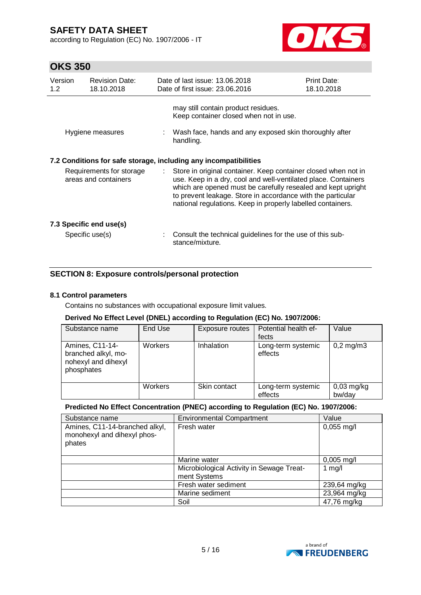according to Regulation (EC) No. 1907/2006 - IT



# **OKS 350**

| Version<br>1.2 | <b>Revision Date:</b><br>18.10.2018              |                | Date of last issue: 13.06.2018<br>Date of first issue: 23.06.2016                                                                                                                                                                                                                                                                                                                                  | <b>Print Date:</b><br>18.10.2018 |
|----------------|--------------------------------------------------|----------------|----------------------------------------------------------------------------------------------------------------------------------------------------------------------------------------------------------------------------------------------------------------------------------------------------------------------------------------------------------------------------------------------------|----------------------------------|
|                | Hygiene measures                                 |                | may still contain product residues.<br>Keep container closed when not in use.<br>: Wash face, hands and any exposed skin thoroughly after<br>handling.                                                                                                                                                                                                                                             |                                  |
|                | Requirements for storage<br>areas and containers | $\mathbb{R}^n$ | 7.2 Conditions for safe storage, including any incompatibilities<br>Store in original container. Keep container closed when not in<br>use. Keep in a dry, cool and well-ventilated place. Containers<br>which are opened must be carefully resealed and kept upright<br>to prevent leakage. Store in accordance with the particular<br>national regulations. Keep in properly labelled containers. |                                  |
|                | 7.3 Specific end use(s)<br>Specific use(s)       |                | Consult the technical guidelines for the use of this sub-<br>stance/mixture.                                                                                                                                                                                                                                                                                                                       |                                  |

### **SECTION 8: Exposure controls/personal protection**

#### **8.1 Control parameters**

Contains no substances with occupational exposure limit values.

### **Derived No Effect Level (DNEL) according to Regulation (EC) No. 1907/2006:**

| Substance name                                                              | End Use        | Exposure routes | Potential health ef-<br>fects | Value                   |
|-----------------------------------------------------------------------------|----------------|-----------------|-------------------------------|-------------------------|
| Amines, C11-14-<br>branched alkyl, mo-<br>nohexyl and dihexyl<br>phosphates | <b>Workers</b> | Inhalation      | Long-term systemic<br>effects | $0,2 \,\mathrm{mg/m}$ 3 |
|                                                                             | <b>Workers</b> | Skin contact    | Long-term systemic<br>effects | $0,03$ mg/kg<br>bw/day  |

### **Predicted No Effect Concentration (PNEC) according to Regulation (EC) No. 1907/2006:**

| Substance name                                                          | <b>Environmental Compartment</b>                          | Value        |
|-------------------------------------------------------------------------|-----------------------------------------------------------|--------------|
| Amines, C11-14-branched alkyl,<br>monohexyl and dihexyl phos-<br>phates | Fresh water                                               | $0,055$ mg/l |
|                                                                         | Marine water                                              | $0,005$ mg/l |
|                                                                         | Microbiological Activity in Sewage Treat-<br>ment Systems | 1 $mg/l$     |
|                                                                         | Fresh water sediment                                      | 239,64 mg/kg |
|                                                                         | Marine sediment                                           | 23,964 mg/kg |
|                                                                         | Soil                                                      | 47,76 mg/kg  |

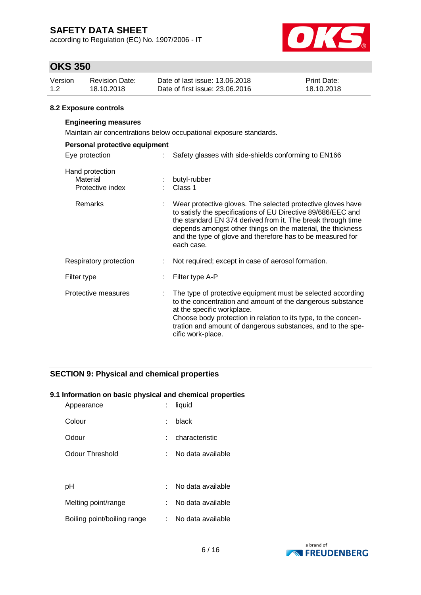according to Regulation (EC) No. 1907/2006 - IT



# **OKS 350**

| Version | <b>Revision Date:</b> | Date of last issue: 13.06.2018  | Print Date: |
|---------|-----------------------|---------------------------------|-------------|
| 1.2     | 18.10.2018            | Date of first issue: 23,06,2016 | 18.10.2018  |

#### **8.2 Exposure controls**

#### **Engineering measures**

Maintain air concentrations below occupational exposure standards.

| Personal protective equipment                   |                                                                                                                                                                                                                                                                                                                                       |
|-------------------------------------------------|---------------------------------------------------------------------------------------------------------------------------------------------------------------------------------------------------------------------------------------------------------------------------------------------------------------------------------------|
| Eye protection                                  | Safety glasses with side-shields conforming to EN166                                                                                                                                                                                                                                                                                  |
| Hand protection<br>Material<br>Protective index | : butyl-rubber<br>Class 1                                                                                                                                                                                                                                                                                                             |
| Remarks                                         | Wear protective gloves. The selected protective gloves have<br>to satisfy the specifications of EU Directive 89/686/EEC and<br>the standard EN 374 derived from it. The break through time<br>depends amongst other things on the material, the thickness<br>and the type of glove and therefore has to be measured for<br>each case. |
| Respiratory protection                          | Not required; except in case of aerosol formation.                                                                                                                                                                                                                                                                                    |
| Filter type                                     | Filter type A-P                                                                                                                                                                                                                                                                                                                       |
| Protective measures                             | The type of protective equipment must be selected according<br>to the concentration and amount of the dangerous substance<br>at the specific workplace.<br>Choose body protection in relation to its type, to the concen-<br>tration and amount of dangerous substances, and to the spe-<br>cific work-place.                         |

### **SECTION 9: Physical and chemical properties**

#### **9.1 Information on basic physical and chemical properties**

| Appearance                  |    | liquid            |
|-----------------------------|----|-------------------|
| Colour                      | t. | black             |
| Odour                       |    | characteristic    |
| Odour Threshold             |    | No data available |
|                             |    |                   |
| рH                          |    | No data available |
| Melting point/range         |    | No data available |
| Boiling point/boiling range |    | No data available |

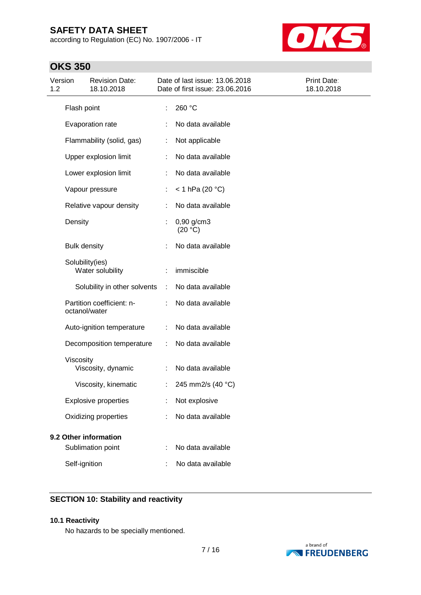according to Regulation (EC) No. 1907/2006 - IT



# **OKS 350**

| Version<br>1.2 |                     | <b>Revision Date:</b><br>18.10.2018 |    | Date of last issue: 13.06.2018<br>Date of first issue: 23.06.2016 | Print Date:<br>18.10.2018 |
|----------------|---------------------|-------------------------------------|----|-------------------------------------------------------------------|---------------------------|
|                | Flash point         |                                     |    | 260 °C                                                            |                           |
|                |                     | Evaporation rate                    |    | No data available                                                 |                           |
|                |                     | Flammability (solid, gas)           |    | Not applicable                                                    |                           |
|                |                     | Upper explosion limit               |    | No data available                                                 |                           |
|                |                     | Lower explosion limit               | ÷  | No data available                                                 |                           |
|                |                     | Vapour pressure                     | t, | $<$ 1 hPa (20 °C)                                                 |                           |
|                |                     | Relative vapour density             |    | No data available                                                 |                           |
|                | Density             |                                     |    | $0,90$ g/cm3<br>(20 °C)                                           |                           |
|                | <b>Bulk density</b> |                                     |    | No data available                                                 |                           |
|                | Solubility(ies)     | Water solubility                    |    | immiscible                                                        |                           |
|                |                     | Solubility in other solvents        | ÷  | No data available                                                 |                           |
|                | octanol/water       | Partition coefficient: n-           |    | No data available                                                 |                           |
|                |                     | Auto-ignition temperature           |    | No data available                                                 |                           |
|                |                     | Decomposition temperature           | ÷  | No data available                                                 |                           |
|                | Viscosity           | Viscosity, dynamic                  | ÷  | No data available                                                 |                           |
|                |                     | Viscosity, kinematic                | t  | 245 mm2/s (40 °C)                                                 |                           |
|                |                     | <b>Explosive properties</b>         |    | Not explosive                                                     |                           |
|                |                     | Oxidizing properties                |    | No data available                                                 |                           |
|                |                     | 9.2 Other information               |    |                                                                   |                           |
|                |                     | Sublimation point                   |    | No data available                                                 |                           |
|                | Self-ignition       |                                     |    | No data available                                                 |                           |

### **SECTION 10: Stability and reactivity**

#### **10.1 Reactivity**

No hazards to be specially mentioned.

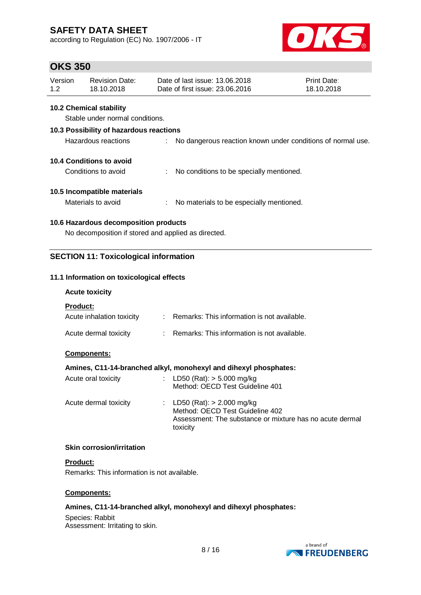according to Regulation (EC) No. 1907/2006 - IT



### **OKS 350**

| Version<br>Date of last issue: 13.06.2018<br>Revision Date:<br>Date of first issue: 23,06,2016<br>1.2<br>18.10.2018 | <b>Print Date:</b><br>18.10.2018 |
|---------------------------------------------------------------------------------------------------------------------|----------------------------------|
|---------------------------------------------------------------------------------------------------------------------|----------------------------------|

### **10.2 Chemical stability**

Stable under normal conditions.

| 10.3 Possibility of hazardous reactions |    |                                                             |  |  |
|-----------------------------------------|----|-------------------------------------------------------------|--|--|
| Hazardous reactions                     |    | No dangerous reaction known under conditions of normal use. |  |  |
| 10.4 Conditions to avoid                |    |                                                             |  |  |
| Conditions to avoid                     | ÷. | No conditions to be specially mentioned.                    |  |  |
| 10.5 Incompatible materials             |    |                                                             |  |  |
| Materials to avoid                      |    | No materials to be especially mentioned.                    |  |  |

### **10.6 Hazardous decomposition products**

No decomposition if stored and applied as directed.

### **SECTION 11: Toxicological information**

### **11.1 Information on toxicological effects**

#### **Acute toxicity**

**Product:**

| Acute inhalation toxicity | Remarks: This information is not available. |
|---------------------------|---------------------------------------------|
| Acute dermal toxicity     | Remarks: This information is not available. |

#### **Components:**

#### **Amines, C11-14-branched alkyl, monohexyl and dihexyl phosphates:**

| Acute oral toxicity   | : LD50 (Rat): $>$ 5.000 mg/kg<br>Method: OECD Test Guideline 401                                                                         |
|-----------------------|------------------------------------------------------------------------------------------------------------------------------------------|
| Acute dermal toxicity | : LD50 (Rat): $> 2.000$ mg/kg<br>Method: OECD Test Guideline 402<br>Assessment: The substance or mixture has no acute dermal<br>toxicity |

#### **Skin corrosion/irritation**

#### **Product:**

Remarks: This information is not available.

#### **Components:**

### **Amines, C11-14-branched alkyl, monohexyl and dihexyl phosphates:**

Species: Rabbit Assessment: Irritating to skin.

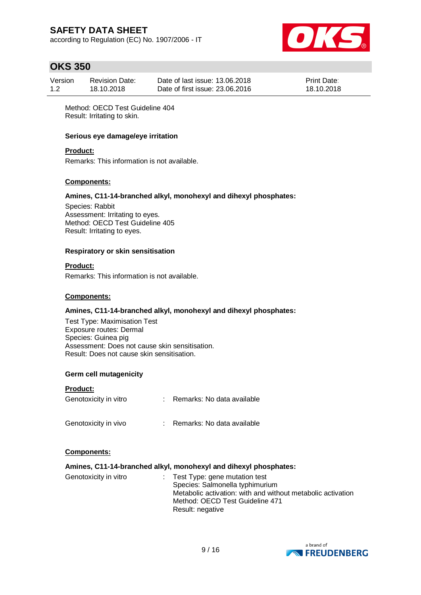according to Regulation (EC) No. 1907/2006 - IT



# **OKS 350**

| Version | <b>Revision Date:</b> | Date of last issue: 13.06.2018  | <b>Print Date:</b> |
|---------|-----------------------|---------------------------------|--------------------|
| 1.2     | 18.10.2018            | Date of first issue: 23,06,2016 | 18.10.2018         |

Method: OECD Test Guideline 404 Result: Irritating to skin.

#### **Serious eye damage/eye irritation**

#### **Product:**

Remarks: This information is not available.

#### **Components:**

#### **Amines, C11-14-branched alkyl, monohexyl and dihexyl phosphates:**

Species: Rabbit Assessment: Irritating to eyes. Method: OECD Test Guideline 405 Result: Irritating to eyes.

#### **Respiratory or skin sensitisation**

#### **Product:**

Remarks: This information is not available.

#### **Components:**

#### **Amines, C11-14-branched alkyl, monohexyl and dihexyl phosphates:**

Test Type: Maximisation Test Exposure routes: Dermal Species: Guinea pig Assessment: Does not cause skin sensitisation. Result: Does not cause skin sensitisation.

#### **Germ cell mutagenicity**

# **Product:** Genotoxicity in vitro : Remarks: No data available Genotoxicity in vivo : Remarks: No data available

#### **Components:**

#### **Amines, C11-14-branched alkyl, monohexyl and dihexyl phosphates:**

| $\therefore$ Test Type: gene mutation test<br>Species: Salmonella typhimurium                  |
|------------------------------------------------------------------------------------------------|
| Metabolic activation: with and without metabolic activation<br>Method: OECD Test Guideline 471 |
| Result: negative                                                                               |
|                                                                                                |

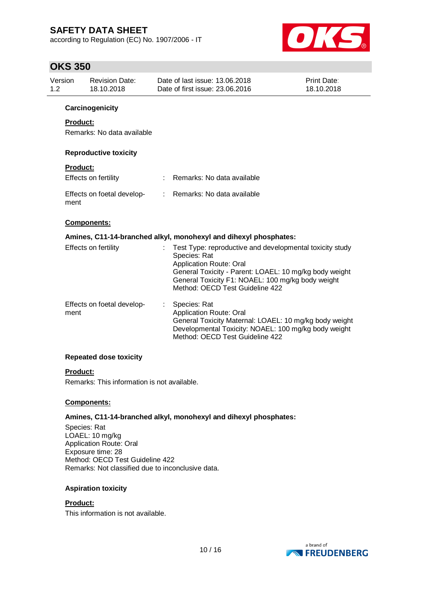according to Regulation (EC) No. 1907/2006 - IT



# **OKS 350**

| ,              |                                     |    |                                                                                                                                                                                                                                                              |                           |
|----------------|-------------------------------------|----|--------------------------------------------------------------------------------------------------------------------------------------------------------------------------------------------------------------------------------------------------------------|---------------------------|
| Version<br>1.2 | <b>Revision Date:</b><br>18.10.2018 |    | Date of last issue: 13.06.2018<br>Date of first issue: 23.06.2016                                                                                                                                                                                            | Print Date:<br>18.10.2018 |
|                | Carcinogenicity                     |    |                                                                                                                                                                                                                                                              |                           |
|                | Product:                            |    |                                                                                                                                                                                                                                                              |                           |
|                | Remarks: No data available          |    |                                                                                                                                                                                                                                                              |                           |
|                | <b>Reproductive toxicity</b>        |    |                                                                                                                                                                                                                                                              |                           |
|                | <b>Product:</b>                     |    |                                                                                                                                                                                                                                                              |                           |
|                | Effects on fertility                |    | Remarks: No data available                                                                                                                                                                                                                                   |                           |
| ment           | Effects on foetal develop-          | ÷. | Remarks: No data available                                                                                                                                                                                                                                   |                           |
|                | Components:                         |    |                                                                                                                                                                                                                                                              |                           |
|                |                                     |    | Amines, C11-14-branched alkyl, monohexyl and dihexyl phosphates:                                                                                                                                                                                             |                           |
|                | Effects on fertility                |    | Test Type: reproductive and developmental toxicity study<br>Species: Rat<br><b>Application Route: Oral</b><br>General Toxicity - Parent: LOAEL: 10 mg/kg body weight<br>General Toxicity F1: NOAEL: 100 mg/kg body weight<br>Method: OECD Test Guideline 422 |                           |
| ment           | Effects on foetal develop-          | ÷. | Species: Rat<br>Application Route: Oral<br>General Toxicity Maternal: LOAEL: 10 mg/kg body weight<br>Developmental Toxicity: NOAEL: 100 mg/kg body weight<br>Method: OECD Test Guideline 422                                                                 |                           |
|                | <b>Repeated dose toxicity</b>       |    |                                                                                                                                                                                                                                                              |                           |

#### **Product:**

Remarks: This information is not available.

#### **Components:**

#### **Amines, C11-14-branched alkyl, monohexyl and dihexyl phosphates:**

Species: Rat LOAEL: 10 mg/kg Application Route: Oral Exposure time: 28 Method: OECD Test Guideline 422 Remarks: Not classified due to inconclusive data.

#### **Aspiration toxicity**

#### **Product:**

This information is not available.

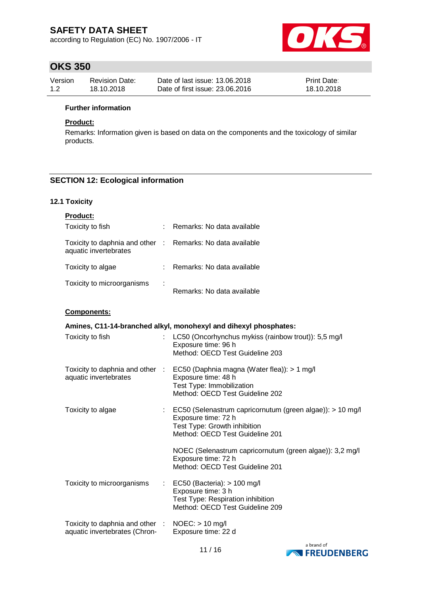according to Regulation (EC) No. 1907/2006 - IT



# **OKS 350**

| Version | Revision Date: | Date of last issue: 13.06.2018  | <b>Print Date:</b> |
|---------|----------------|---------------------------------|--------------------|
| 1.2     | 18.10.2018     | Date of first issue: 23,06,2016 | 18.10.2018         |

#### **Further information**

### **Product:**

Remarks: Information given is based on data on the components and the toxicology of similar products.

### **SECTION 12: Ecological information**

### **12.1 Toxicity**

| <b>Product:</b>                                                                     |     |                            |
|-------------------------------------------------------------------------------------|-----|----------------------------|
| Toxicity to fish                                                                    | ÷   | Remarks: No data available |
| Toxicity to daphnia and other : Remarks: No data available<br>aquatic invertebrates |     |                            |
| Toxicity to algae                                                                   | t i | Remarks: No data available |
| Toxicity to microorganisms                                                          | ÷   | Remarks: No data available |

#### **Components:**

| Amines, C11-14-branched alkyl, monohexyl and dihexyl phosphates:                 |                |                                                                                                                                                                  |  |  |
|----------------------------------------------------------------------------------|----------------|------------------------------------------------------------------------------------------------------------------------------------------------------------------|--|--|
| Toxicity to fish                                                                 |                | LC50 (Oncorhynchus mykiss (rainbow trout)): 5,5 mg/l<br>Exposure time: 96 h<br>Method: OECD Test Guideline 203                                                   |  |  |
| Toxicity to daphnia and other :<br>aquatic invertebrates                         |                | EC50 (Daphnia magna (Water flea)): > 1 mg/l<br>Exposure time: 48 h<br>Test Type: Immobilization<br>Method: OECD Test Guideline 202                               |  |  |
| Toxicity to algae                                                                |                | $\therefore$ EC50 (Selenastrum capricornutum (green algae)): > 10 mg/l<br>Exposure time: 72 h<br>Test Type: Growth inhibition<br>Method: OECD Test Guideline 201 |  |  |
|                                                                                  |                | NOEC (Selenastrum capricornutum (green algae)): 3,2 mg/l<br>Exposure time: 72 h<br>Method: OECD Test Guideline 201                                               |  |  |
| Toxicity to microorganisms                                                       | $\mathbb{R}^n$ | EC50 (Bacteria): $> 100$ mg/l<br>Exposure time: 3 h<br>Test Type: Respiration inhibition<br>Method: OECD Test Guideline 209                                      |  |  |
| Toxicity to daphnia and other : NOEC: > 10 mg/l<br>aquatic invertebrates (Chron- |                | Exposure time: 22 d                                                                                                                                              |  |  |

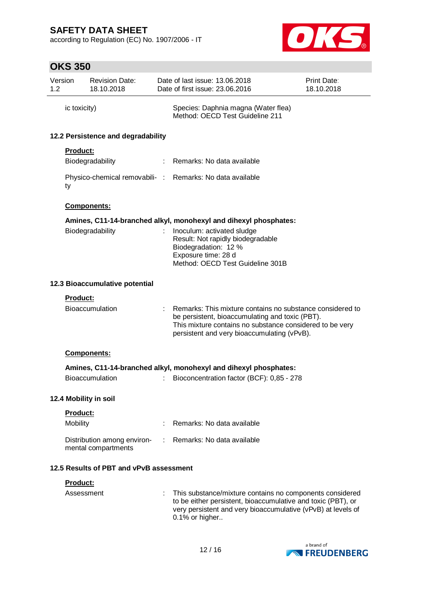according to Regulation (EC) No. 1907/2006 - IT



# **OKS 350**

| Version<br>1.2 |                 | <b>Revision Date:</b><br>18.10.2018                |   | Date of last issue: 13.06.2018<br>Date of first issue: 23,06,2016                                                                                                                                                       | <b>Print Date:</b><br>18.10.2018 |
|----------------|-----------------|----------------------------------------------------|---|-------------------------------------------------------------------------------------------------------------------------------------------------------------------------------------------------------------------------|----------------------------------|
|                | ic toxicity)    |                                                    |   | Species: Daphnia magna (Water flea)<br>Method: OECD Test Guideline 211                                                                                                                                                  |                                  |
|                |                 | 12.2 Persistence and degradability                 |   |                                                                                                                                                                                                                         |                                  |
|                | <b>Product:</b> |                                                    |   |                                                                                                                                                                                                                         |                                  |
|                |                 | Biodegradability                                   |   | : Remarks: No data available                                                                                                                                                                                            |                                  |
|                | ty              |                                                    |   | Physico-chemical removabili- : Remarks: No data available                                                                                                                                                               |                                  |
|                |                 | Components:                                        |   |                                                                                                                                                                                                                         |                                  |
|                |                 |                                                    |   | Amines, C11-14-branched alkyl, monohexyl and dihexyl phosphates:                                                                                                                                                        |                                  |
|                |                 | Biodegradability                                   |   | Inoculum: activated sludge<br>Result: Not rapidly biodegradable<br>Biodegradation: 12 %<br>Exposure time: 28 d<br>Method: OECD Test Guideline 301B                                                                      |                                  |
|                |                 | 12.3 Bioaccumulative potential                     |   |                                                                                                                                                                                                                         |                                  |
|                | Product:        |                                                    |   |                                                                                                                                                                                                                         |                                  |
|                |                 | <b>Bioaccumulation</b>                             |   | Remarks: This mixture contains no substance considered to<br>be persistent, bioaccumulating and toxic (PBT).<br>This mixture contains no substance considered to be very<br>persistent and very bioaccumulating (vPvB). |                                  |
|                |                 | <b>Components:</b>                                 |   |                                                                                                                                                                                                                         |                                  |
|                |                 |                                                    |   | Amines, C11-14-branched alkyl, monohexyl and dihexyl phosphates:                                                                                                                                                        |                                  |
|                |                 | <b>Bioaccumulation</b>                             | ÷ | Bioconcentration factor (BCF): 0,85 - 278                                                                                                                                                                               |                                  |
|                |                 | 12.4 Mobility in soil                              |   |                                                                                                                                                                                                                         |                                  |
|                | Product:        |                                                    |   |                                                                                                                                                                                                                         |                                  |
|                | Mobility        |                                                    |   | Remarks: No data available                                                                                                                                                                                              |                                  |
|                |                 | Distribution among environ-<br>mental compartments |   | Remarks: No data available                                                                                                                                                                                              |                                  |
|                |                 | 12.5 Results of PBT and vPvB assessment            |   |                                                                                                                                                                                                                         |                                  |
|                | Product:        |                                                    |   |                                                                                                                                                                                                                         |                                  |
|                | Assessment      |                                                    |   | This substance/mixture contains no components considered<br>to be either persistent, bioaccumulative and toxic (PBT), or<br>very persistent and very bioaccumulative (vPvB) at levels of<br>0.1% or higher              |                                  |

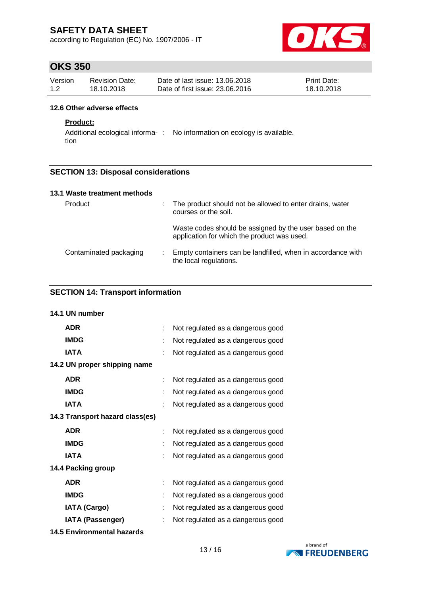according to Regulation (EC) No. 1907/2006 - IT



# **OKS 350**

| Version | <b>Revision Date:</b> | Date of last issue: 13.06.2018  | <b>Print Date:</b> |
|---------|-----------------------|---------------------------------|--------------------|
| 1.2     | 18.10.2018            | Date of first issue: 23,06,2016 | 18.10.2018         |

#### **12.6 Other adverse effects**

### **Product:**

Additional ecological informa-: No information on ecology is available. tion

### **SECTION 13: Disposal considerations**

| 13.1 Waste treatment methods |    |                                                                                                        |
|------------------------------|----|--------------------------------------------------------------------------------------------------------|
| Product                      |    | : The product should not be allowed to enter drains, water<br>courses or the soil.                     |
|                              |    | Waste codes should be assigned by the user based on the<br>application for which the product was used. |
| Contaminated packaging       | ÷. | Empty containers can be landfilled, when in accordance with<br>the local regulations.                  |

### **SECTION 14: Transport information**

| 14.1 UN number                  |   |                                   |
|---------------------------------|---|-----------------------------------|
| <b>ADR</b>                      | ÷ | Not regulated as a dangerous good |
| <b>IMDG</b>                     | t | Not regulated as a dangerous good |
| <b>IATA</b>                     |   | Not regulated as a dangerous good |
| 14.2 UN proper shipping name    |   |                                   |
| <b>ADR</b>                      |   | Not regulated as a dangerous good |
| <b>IMDG</b>                     | t | Not regulated as a dangerous good |
| <b>IATA</b>                     | t | Not regulated as a dangerous good |
| 14.3 Transport hazard class(es) |   |                                   |
| <b>ADR</b>                      | ÷ | Not regulated as a dangerous good |
| <b>IMDG</b>                     |   | Not regulated as a dangerous good |
| <b>IATA</b>                     | t | Not regulated as a dangerous good |
| 14.4 Packing group              |   |                                   |
| <b>ADR</b>                      | ÷ | Not regulated as a dangerous good |
| <b>IMDG</b>                     |   | Not regulated as a dangerous good |
| <b>IATA (Cargo)</b>             | t | Not regulated as a dangerous good |
| <b>IATA (Passenger)</b>         |   | Not regulated as a dangerous good |
|                                 |   |                                   |

**14.5 Environmental hazards**

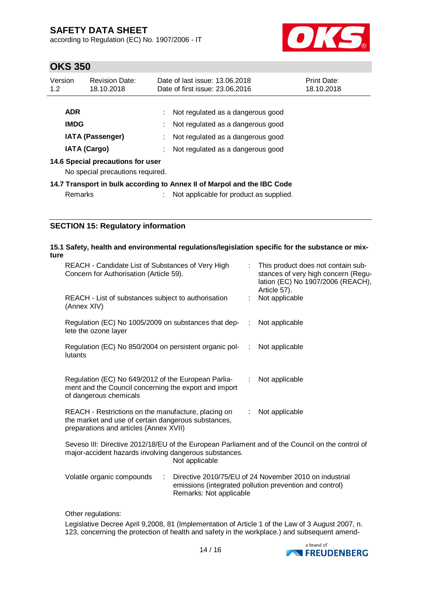according to Regulation (EC) No. 1907/2006 - IT



# **OKS 350**

| Version<br>1.2          | <b>Revision Date:</b><br>18.10.2018                                   | Date of last issue: 13.06.2018<br>Date of first issue: 23.06.2016       | Print Date:<br>18.10.2018 |
|-------------------------|-----------------------------------------------------------------------|-------------------------------------------------------------------------|---------------------------|
| <b>ADR</b>              |                                                                       | Not regulated as a dangerous good                                       |                           |
| <b>IMDG</b>             |                                                                       | Not regulated as a dangerous good                                       |                           |
| <b>IATA (Passenger)</b> |                                                                       | Not regulated as a dangerous good                                       |                           |
| <b>IATA (Cargo)</b>     |                                                                       | Not regulated as a dangerous good                                       |                           |
|                         | 14.6 Special precautions for user<br>No special precautions required. |                                                                         |                           |
|                         |                                                                       | 14.7 Transport in bulk according to Annex II of Marpol and the IBC Code |                           |
| Remarks                 |                                                                       | Not applicable for product as supplied.                                 |                           |

### **SECTION 15: Regulatory information**

#### **15.1 Safety, health and environmental regulations/legislation specific for the substance or mixture**

| REACH - Candidate List of Substances of Very High<br>Concern for Authorisation (Article 59).                                                         | This product does not contain sub-<br>stances of very high concern (Regu-<br>lation (EC) No 1907/2006 (REACH),<br>Article 57). |  |
|------------------------------------------------------------------------------------------------------------------------------------------------------|--------------------------------------------------------------------------------------------------------------------------------|--|
| REACH - List of substances subject to authorisation<br>(Annex XIV)                                                                                   | Not applicable                                                                                                                 |  |
| Regulation (EC) No 1005/2009 on substances that dep-<br>lete the ozone layer                                                                         | Not applicable<br>÷.                                                                                                           |  |
| Regulation (EC) No 850/2004 on persistent organic pol-<br>:<br>lutants                                                                               | Not applicable                                                                                                                 |  |
| Regulation (EC) No 649/2012 of the European Parlia-<br>ment and the Council concerning the export and import<br>of dangerous chemicals               | : Not applicable                                                                                                               |  |
| REACH - Restrictions on the manufacture, placing on<br>the market and use of certain dangerous substances,<br>preparations and articles (Annex XVII) | Not applicable<br>÷.                                                                                                           |  |
| $\cdots$ $\cdots$ $\cdots$ $\cdots$ $\cdots$ $\cdots$                                                                                                |                                                                                                                                |  |

Seveso III: Directive 2012/18/EU of the European Parliament and of the Council on the control of major-accident hazards involving dangerous substances. Not applicable

| Volatile organic compounds | Directive 2010/75/EU of 24 November 2010 on industrial  |
|----------------------------|---------------------------------------------------------|
|                            | emissions (integrated pollution prevention and control) |
|                            | Remarks: Not applicable                                 |

Other regulations:

Legislative Decree April 9,2008, 81 (Implementation of Article 1 of the Law of 3 August 2007, n. 123, concerning the protection of health and safety in the workplace.) and subsequent amend-

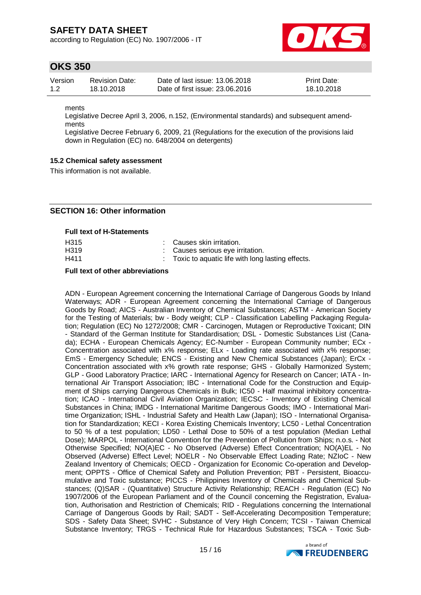according to Regulation (EC) No. 1907/2006 - IT



### **OKS 350**

| Version | Revision Date: | Date of last issue: 13.06.2018  | <b>Print Date:</b> |
|---------|----------------|---------------------------------|--------------------|
| 1.2     | 18.10.2018     | Date of first issue: 23,06,2016 | 18.10.2018         |

ments

Legislative Decree April 3, 2006, n.152, (Environmental standards) and subsequent amendments

Legislative Decree February 6, 2009, 21 (Regulations for the execution of the provisions laid down in Regulation (EC) no. 648/2004 on detergents)

### **15.2 Chemical safety assessment**

This information is not available.

### **SECTION 16: Other information**

**Full text of H-Statements**

| H315              | : Causes skin irritation.                          |
|-------------------|----------------------------------------------------|
| H <sub>3</sub> 19 | Causes serious eye irritation.                     |
| H411              | : Toxic to aquatic life with long lasting effects. |

#### **Full text of other abbreviations**

ADN - European Agreement concerning the International Carriage of Dangerous Goods by Inland Waterways; ADR - European Agreement concerning the International Carriage of Dangerous Goods by Road; AICS - Australian Inventory of Chemical Substances; ASTM - American Society for the Testing of Materials; bw - Body weight; CLP - Classification Labelling Packaging Regulation; Regulation (EC) No 1272/2008; CMR - Carcinogen, Mutagen or Reproductive Toxicant; DIN - Standard of the German Institute for Standardisation; DSL - Domestic Substances List (Canada); ECHA - European Chemicals Agency; EC-Number - European Community number; ECx - Concentration associated with x% response; ELx - Loading rate associated with x% response; EmS - Emergency Schedule; ENCS - Existing and New Chemical Substances (Japan); ErCx - Concentration associated with x% growth rate response; GHS - Globally Harmonized System; GLP - Good Laboratory Practice; IARC - International Agency for Research on Cancer; IATA - International Air Transport Association; IBC - International Code for the Construction and Equipment of Ships carrying Dangerous Chemicals in Bulk; IC50 - Half maximal inhibitory concentration; ICAO - International Civil Aviation Organization; IECSC - Inventory of Existing Chemical Substances in China; IMDG - International Maritime Dangerous Goods; IMO - International Maritime Organization; ISHL - Industrial Safety and Health Law (Japan); ISO - International Organisation for Standardization; KECI - Korea Existing Chemicals Inventory; LC50 - Lethal Concentration to 50 % of a test population; LD50 - Lethal Dose to 50% of a test population (Median Lethal Dose); MARPOL - International Convention for the Prevention of Pollution from Ships; n.o.s. - Not Otherwise Specified; NO(A)EC - No Observed (Adverse) Effect Concentration; NO(A)EL - No Observed (Adverse) Effect Level; NOELR - No Observable Effect Loading Rate; NZIoC - New Zealand Inventory of Chemicals; OECD - Organization for Economic Co-operation and Development; OPPTS - Office of Chemical Safety and Pollution Prevention; PBT - Persistent, Bioaccumulative and Toxic substance; PICCS - Philippines Inventory of Chemicals and Chemical Substances; (Q)SAR - (Quantitative) Structure Activity Relationship; REACH - Regulation (EC) No 1907/2006 of the European Parliament and of the Council concerning the Registration, Evaluation, Authorisation and Restriction of Chemicals; RID - Regulations concerning the International Carriage of Dangerous Goods by Rail; SADT - Self-Accelerating Decomposition Temperature; SDS - Safety Data Sheet; SVHC - Substance of Very High Concern; TCSI - Taiwan Chemical Substance Inventory; TRGS - Technical Rule for Hazardous Substances; TSCA - Toxic Sub-